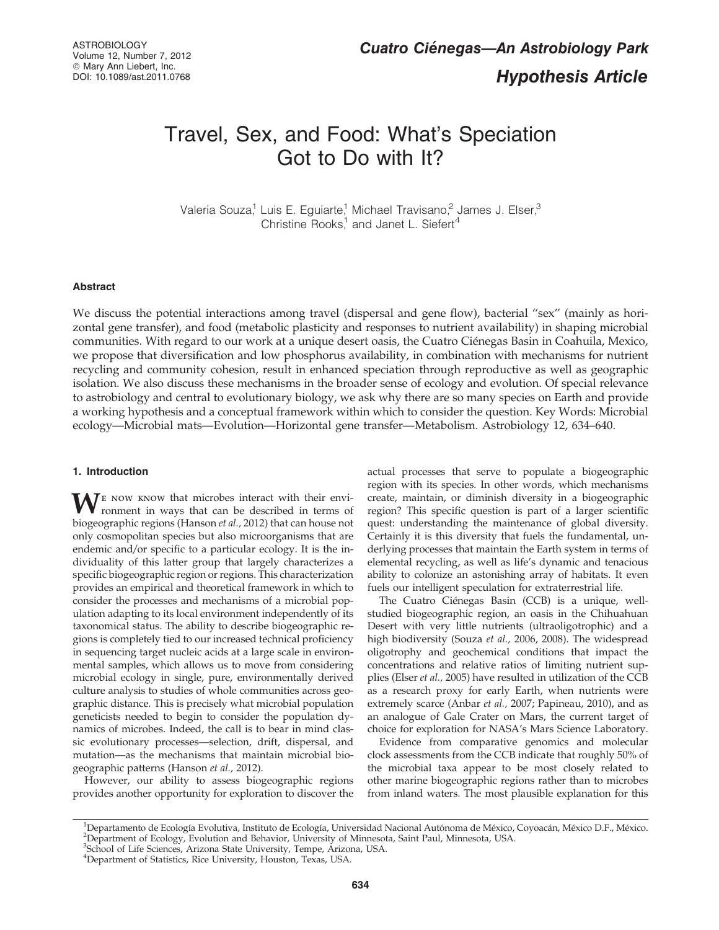# Travel, Sex, and Food: What's Speciation Got to Do with It?

Valeria Souza,<sup>1</sup> Luis E. Eguiarte,<sup>1</sup> Michael Travisano,<sup>2</sup> James J. Elser,<sup>3</sup> Christine Rooks, $1$  and Janet L. Siefert<sup>4</sup>

### Abstract

We discuss the potential interactions among travel (dispersal and gene flow), bacterial "sex" (mainly as horizontal gene transfer), and food (metabolic plasticity and responses to nutrient availability) in shaping microbial communities. With regard to our work at a unique desert oasis, the Cuatro Ciénegas Basin in Coahuila, Mexico, we propose that diversification and low phosphorus availability, in combination with mechanisms for nutrient recycling and community cohesion, result in enhanced speciation through reproductive as well as geographic isolation. We also discuss these mechanisms in the broader sense of ecology and evolution. Of special relevance to astrobiology and central to evolutionary biology, we ask why there are so many species on Earth and provide a working hypothesis and a conceptual framework within which to consider the question. Key Words: Microbial ecology—Microbial mats—Evolution—Horizontal gene transfer—Metabolism. Astrobiology 12, 634–640.

# 1. Introduction

 $\mathbf{W}^{\text{E}}$  now know that microbes interact with their environment in ways that can be described in terms of biogeographic regions (Hanson et al., 2012) that can house not only cosmopolitan species but also microorganisms that are endemic and/or specific to a particular ecology. It is the individuality of this latter group that largely characterizes a specific biogeographic region or regions. This characterization provides an empirical and theoretical framework in which to consider the processes and mechanisms of a microbial population adapting to its local environment independently of its taxonomical status. The ability to describe biogeographic regions is completely tied to our increased technical proficiency in sequencing target nucleic acids at a large scale in environmental samples, which allows us to move from considering microbial ecology in single, pure, environmentally derived culture analysis to studies of whole communities across geographic distance. This is precisely what microbial population geneticists needed to begin to consider the population dynamics of microbes. Indeed, the call is to bear in mind classic evolutionary processes—selection, drift, dispersal, and mutation—as the mechanisms that maintain microbial biogeographic patterns (Hanson et al., 2012).

However, our ability to assess biogeographic regions provides another opportunity for exploration to discover the actual processes that serve to populate a biogeographic region with its species. In other words, which mechanisms create, maintain, or diminish diversity in a biogeographic region? This specific question is part of a larger scientific quest: understanding the maintenance of global diversity. Certainly it is this diversity that fuels the fundamental, underlying processes that maintain the Earth system in terms of elemental recycling, as well as life's dynamic and tenacious ability to colonize an astonishing array of habitats. It even fuels our intelligent speculation for extraterrestrial life.

The Cuatro Ciénegas Basin (CCB) is a unique, wellstudied biogeographic region, an oasis in the Chihuahuan Desert with very little nutrients (ultraoligotrophic) and a high biodiversity (Souza et al., 2006, 2008). The widespread oligotrophy and geochemical conditions that impact the concentrations and relative ratios of limiting nutrient supplies (Elser et al., 2005) have resulted in utilization of the CCB as a research proxy for early Earth, when nutrients were extremely scarce (Anbar et al., 2007; Papineau, 2010), and as an analogue of Gale Crater on Mars, the current target of choice for exploration for NASA's Mars Science Laboratory.

Evidence from comparative genomics and molecular clock assessments from the CCB indicate that roughly 50% of the microbial taxa appear to be most closely related to other marine biogeographic regions rather than to microbes from inland waters. The most plausible explanation for this

<sup>&</sup>lt;sup>1</sup>Departamento de Ecología Evolutiva, Instituto de Ecología, Universidad Nacional Autónoma de México, Coyoacán, México D.F., México.<br><sup>2</sup>Department of Ecology, Evolution and Behavior, University of Minnesota, Saint Paul, M <sup>2</sup>Department of Ecology, Evolution and Behavior, University of Minnesota, Saint Paul, Minnesota, USA.

<sup>&</sup>lt;sup>3</sup>School of Life Sciences, Arizona State University, Tempe, Arizona, USA.

<sup>4</sup> Department of Statistics, Rice University, Houston, Texas, USA.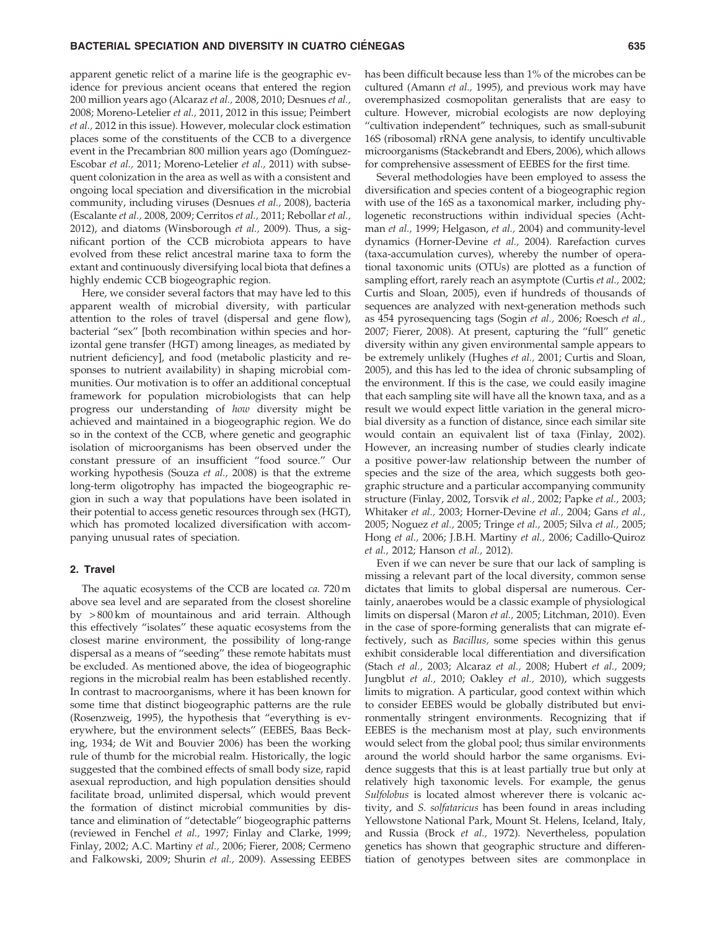# BACTERIAL SPECIATION AND DIVERSITY IN CUATRO CIE´ NEGAS 635

apparent genetic relict of a marine life is the geographic evidence for previous ancient oceans that entered the region 200 million years ago (Alcaraz et al., 2008, 2010; Desnues et al., 2008; Moreno-Letelier et al., 2011, 2012 in this issue; Peimbert et al., 2012 in this issue). However, molecular clock estimation places some of the constituents of the CCB to a divergence event in the Precambrian 800 million years ago (Domínguez-Escobar et al., 2011; Moreno-Letelier et al., 2011) with subsequent colonization in the area as well as with a consistent and ongoing local speciation and diversification in the microbial community, including viruses (Desnues et al., 2008), bacteria (Escalante et al., 2008, 2009; Cerritos et al., 2011; Rebollar et al., 2012), and diatoms (Winsborough et al., 2009). Thus, a significant portion of the CCB microbiota appears to have evolved from these relict ancestral marine taxa to form the extant and continuously diversifying local biota that defines a highly endemic CCB biogeographic region.

Here, we consider several factors that may have led to this apparent wealth of microbial diversity, with particular attention to the roles of travel (dispersal and gene flow), bacterial ''sex'' [both recombination within species and horizontal gene transfer (HGT) among lineages, as mediated by nutrient deficiency], and food (metabolic plasticity and responses to nutrient availability) in shaping microbial communities. Our motivation is to offer an additional conceptual framework for population microbiologists that can help progress our understanding of how diversity might be achieved and maintained in a biogeographic region. We do so in the context of the CCB, where genetic and geographic isolation of microorganisms has been observed under the constant pressure of an insufficient ''food source.'' Our working hypothesis (Souza et al., 2008) is that the extreme long-term oligotrophy has impacted the biogeographic region in such a way that populations have been isolated in their potential to access genetic resources through sex (HGT), which has promoted localized diversification with accompanying unusual rates of speciation.

## 2. Travel

The aquatic ecosystems of the CCB are located ca. 720 m above sea level and are separated from the closest shoreline by > 800 km of mountainous and arid terrain. Although this effectively ''isolates'' these aquatic ecosystems from the closest marine environment, the possibility of long-range dispersal as a means of ''seeding'' these remote habitats must be excluded. As mentioned above, the idea of biogeographic regions in the microbial realm has been established recently. In contrast to macroorganisms, where it has been known for some time that distinct biogeographic patterns are the rule (Rosenzweig, 1995), the hypothesis that ''everything is everywhere, but the environment selects'' (EEBES, Baas Becking, 1934; de Wit and Bouvier 2006) has been the working rule of thumb for the microbial realm. Historically, the logic suggested that the combined effects of small body size, rapid asexual reproduction, and high population densities should facilitate broad, unlimited dispersal, which would prevent the formation of distinct microbial communities by distance and elimination of ''detectable'' biogeographic patterns (reviewed in Fenchel et al., 1997; Finlay and Clarke, 1999; Finlay, 2002; A.C. Martiny et al., 2006; Fierer, 2008; Cermeno and Falkowski, 2009; Shurin et al., 2009). Assessing EEBES has been difficult because less than 1% of the microbes can be cultured (Amann et al., 1995), and previous work may have overemphasized cosmopolitan generalists that are easy to culture. However, microbial ecologists are now deploying "cultivation independent" techniques, such as small-subunit 16S (ribosomal) rRNA gene analysis, to identify uncultivable microorganisms (Stackebrandt and Ebers, 2006), which allows for comprehensive assessment of EEBES for the first time.

Several methodologies have been employed to assess the diversification and species content of a biogeographic region with use of the 16S as a taxonomical marker, including phylogenetic reconstructions within individual species (Achtman et al., 1999; Helgason, et al., 2004) and community-level dynamics (Horner-Devine et al., 2004). Rarefaction curves (taxa-accumulation curves), whereby the number of operational taxonomic units (OTUs) are plotted as a function of sampling effort, rarely reach an asymptote (Curtis et al., 2002; Curtis and Sloan, 2005), even if hundreds of thousands of sequences are analyzed with next-generation methods such as 454 pyrosequencing tags (Sogin et al., 2006; Roesch et al., 2007; Fierer, 2008). At present, capturing the ''full'' genetic diversity within any given environmental sample appears to be extremely unlikely (Hughes et al., 2001; Curtis and Sloan, 2005), and this has led to the idea of chronic subsampling of the environment. If this is the case, we could easily imagine that each sampling site will have all the known taxa, and as a result we would expect little variation in the general microbial diversity as a function of distance, since each similar site would contain an equivalent list of taxa (Finlay, 2002). However, an increasing number of studies clearly indicate a positive power-law relationship between the number of species and the size of the area, which suggests both geographic structure and a particular accompanying community structure (Finlay, 2002, Torsvik et al., 2002; Papke et al., 2003; Whitaker et al., 2003; Horner-Devine et al., 2004; Gans et al., 2005; Noguez et al., 2005; Tringe et al., 2005; Silva et al., 2005; Hong et al., 2006; J.B.H. Martiny et al., 2006; Cadillo-Quiroz et al., 2012; Hanson et al., 2012).

Even if we can never be sure that our lack of sampling is missing a relevant part of the local diversity, common sense dictates that limits to global dispersal are numerous. Certainly, anaerobes would be a classic example of physiological limits on dispersal (Maron et al., 2005; Litchman, 2010). Even in the case of spore-forming generalists that can migrate effectively, such as Bacillus, some species within this genus exhibit considerable local differentiation and diversification (Stach et al., 2003; Alcaraz et al., 2008; Hubert et al., 2009; Jungblut et al., 2010; Oakley et al., 2010), which suggests limits to migration. A particular, good context within which to consider EEBES would be globally distributed but environmentally stringent environments. Recognizing that if EEBES is the mechanism most at play, such environments would select from the global pool; thus similar environments around the world should harbor the same organisms. Evidence suggests that this is at least partially true but only at relatively high taxonomic levels. For example, the genus Sulfolobus is located almost wherever there is volcanic activity, and S. solfataricus has been found in areas including Yellowstone National Park, Mount St. Helens, Iceland, Italy, and Russia (Brock et al., 1972). Nevertheless, population genetics has shown that geographic structure and differentiation of genotypes between sites are commonplace in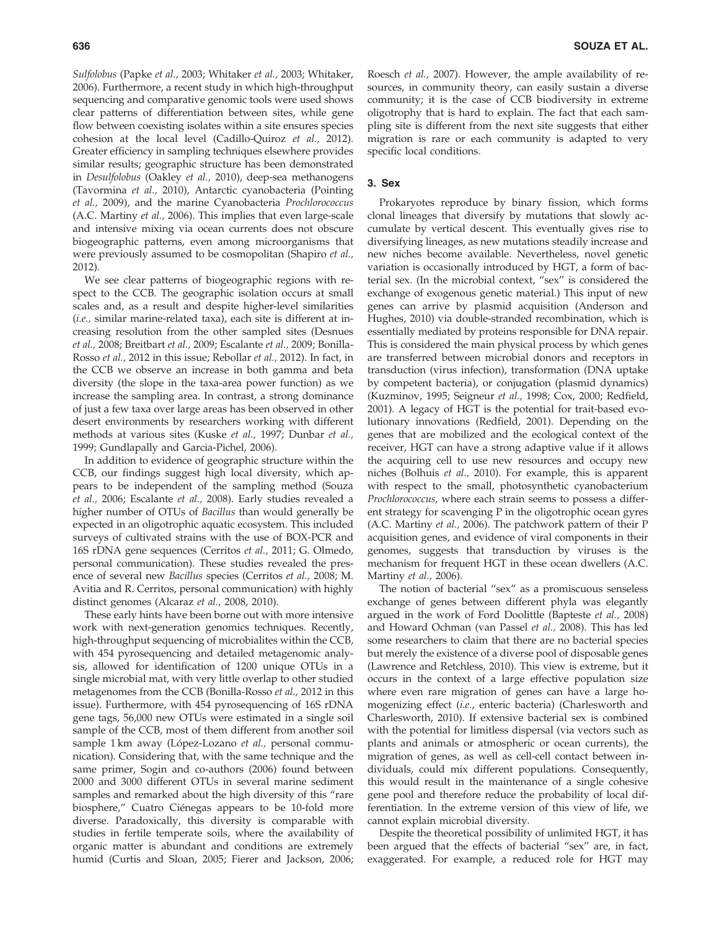Sulfolobus (Papke et al., 2003; Whitaker et al., 2003; Whitaker, 2006). Furthermore, a recent study in which high-throughput sequencing and comparative genomic tools were used shows clear patterns of differentiation between sites, while gene flow between coexisting isolates within a site ensures species cohesion at the local level (Cadillo-Quiroz et al., 2012). Greater efficiency in sampling techniques elsewhere provides similar results; geographic structure has been demonstrated in Desulfolobus (Oakley et al., 2010), deep-sea methanogens (Tavormina et al., 2010), Antarctic cyanobacteria (Pointing et al., 2009), and the marine Cyanobacteria Prochlorococcus (A.C. Martiny et al., 2006). This implies that even large-scale and intensive mixing via ocean currents does not obscure biogeographic patterns, even among microorganisms that were previously assumed to be cosmopolitan (Shapiro et al., 2012).

We see clear patterns of biogeographic regions with respect to the CCB. The geographic isolation occurs at small scales and, as a result and despite higher-level similarities (i.e., similar marine-related taxa), each site is different at increasing resolution from the other sampled sites (Desnues et al., 2008; Breitbart et al., 2009; Escalante et al., 2009; Bonilla-Rosso et al., 2012 in this issue; Rebollar et al., 2012). In fact, in the CCB we observe an increase in both gamma and beta diversity (the slope in the taxa-area power function) as we increase the sampling area. In contrast, a strong dominance of just a few taxa over large areas has been observed in other desert environments by researchers working with different methods at various sites (Kuske et al., 1997; Dunbar et al., 1999; Gundlapally and Garcia-Pichel, 2006).

In addition to evidence of geographic structure within the CCB, our findings suggest high local diversity, which appears to be independent of the sampling method (Souza et al., 2006; Escalante et al., 2008). Early studies revealed a higher number of OTUs of Bacillus than would generally be expected in an oligotrophic aquatic ecosystem. This included surveys of cultivated strains with the use of BOX-PCR and 16S rDNA gene sequences (Cerritos et al., 2011; G. Olmedo, personal communication). These studies revealed the presence of several new Bacillus species (Cerritos et al., 2008; M. Avitia and R. Cerritos, personal communication) with highly distinct genomes (Alcaraz et al., 2008, 2010).

These early hints have been borne out with more intensive work with next-generation genomics techniques. Recently, high-throughput sequencing of microbialites within the CCB, with 454 pyrosequencing and detailed metagenomic analysis, allowed for identification of 1200 unique OTUs in a single microbial mat, with very little overlap to other studied metagenomes from the CCB (Bonilla-Rosso et al., 2012 in this issue). Furthermore, with 454 pyrosequencing of 16S rDNA gene tags, 56,000 new OTUs were estimated in a single soil sample of the CCB, most of them different from another soil sample 1 km away (López-Lozano et al., personal communication). Considering that, with the same technique and the same primer, Sogin and co-authors (2006) found between 2000 and 3000 different OTUs in several marine sediment samples and remarked about the high diversity of this "rare biosphere," Cuatro Ciénegas appears to be 10-fold more diverse. Paradoxically, this diversity is comparable with studies in fertile temperate soils, where the availability of organic matter is abundant and conditions are extremely humid (Curtis and Sloan, 2005; Fierer and Jackson, 2006; Roesch et al., 2007). However, the ample availability of resources, in community theory, can easily sustain a diverse community; it is the case of CCB biodiversity in extreme oligotrophy that is hard to explain. The fact that each sampling site is different from the next site suggests that either migration is rare or each community is adapted to very specific local conditions.

# 3. Sex

Prokaryotes reproduce by binary fission, which forms clonal lineages that diversify by mutations that slowly accumulate by vertical descent. This eventually gives rise to diversifying lineages, as new mutations steadily increase and new niches become available. Nevertheless, novel genetic variation is occasionally introduced by HGT, a form of bacterial sex. (In the microbial context, ''sex'' is considered the exchange of exogenous genetic material.) This input of new genes can arrive by plasmid acquisition (Anderson and Hughes, 2010) via double-stranded recombination, which is essentially mediated by proteins responsible for DNA repair. This is considered the main physical process by which genes are transferred between microbial donors and receptors in transduction (virus infection), transformation (DNA uptake by competent bacteria), or conjugation (plasmid dynamics) (Kuzminov, 1995; Seigneur et al., 1998; Cox, 2000; Redfield, 2001). A legacy of HGT is the potential for trait-based evolutionary innovations (Redfield, 2001). Depending on the genes that are mobilized and the ecological context of the receiver, HGT can have a strong adaptive value if it allows the acquiring cell to use new resources and occupy new niches (Bolhuis et al., 2010). For example, this is apparent with respect to the small, photosynthetic cyanobacterium Prochlorococcus, where each strain seems to possess a different strategy for scavenging P in the oligotrophic ocean gyres (A.C. Martiny et al., 2006). The patchwork pattern of their P acquisition genes, and evidence of viral components in their genomes, suggests that transduction by viruses is the mechanism for frequent HGT in these ocean dwellers (A.C. Martiny et al., 2006).

The notion of bacterial "sex" as a promiscuous senseless exchange of genes between different phyla was elegantly argued in the work of Ford Doolittle (Bapteste et al., 2008) and Howard Ochman (van Passel et al., 2008). This has led some researchers to claim that there are no bacterial species but merely the existence of a diverse pool of disposable genes (Lawrence and Retchless, 2010). This view is extreme, but it occurs in the context of a large effective population size where even rare migration of genes can have a large homogenizing effect (i.e., enteric bacteria) (Charlesworth and Charlesworth, 2010). If extensive bacterial sex is combined with the potential for limitless dispersal (via vectors such as plants and animals or atmospheric or ocean currents), the migration of genes, as well as cell-cell contact between individuals, could mix different populations. Consequently, this would result in the maintenance of a single cohesive gene pool and therefore reduce the probability of local differentiation. In the extreme version of this view of life, we cannot explain microbial diversity.

Despite the theoretical possibility of unlimited HGT, it has been argued that the effects of bacterial ''sex'' are, in fact, exaggerated. For example, a reduced role for HGT may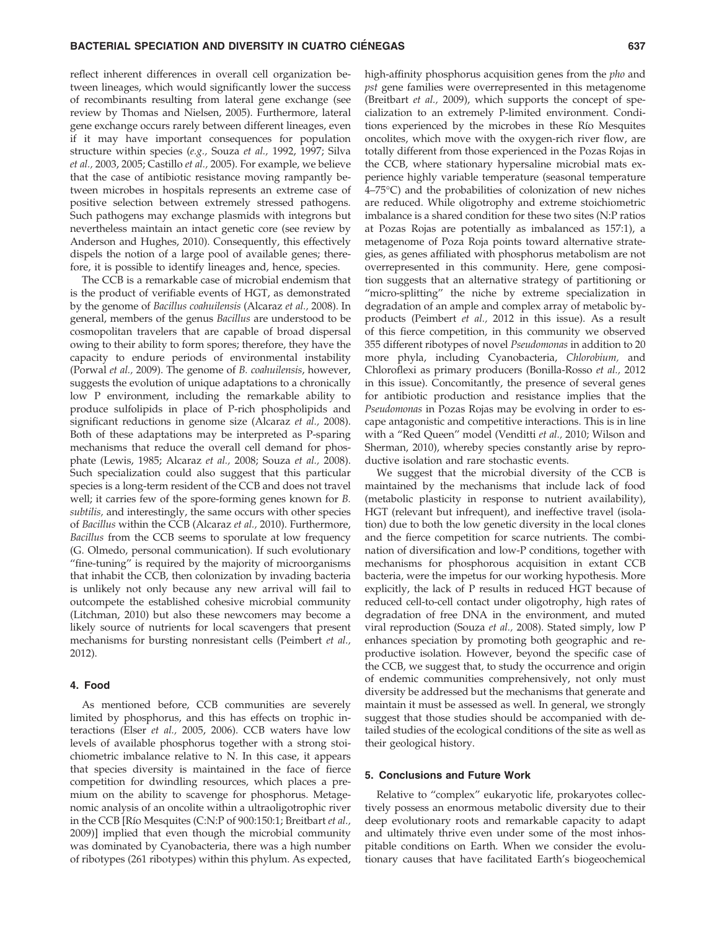reflect inherent differences in overall cell organization between lineages, which would significantly lower the success of recombinants resulting from lateral gene exchange (see review by Thomas and Nielsen, 2005). Furthermore, lateral gene exchange occurs rarely between different lineages, even if it may have important consequences for population structure within species (e.g., Souza et al., 1992, 1997; Silva et al., 2003, 2005; Castillo et al., 2005). For example, we believe that the case of antibiotic resistance moving rampantly between microbes in hospitals represents an extreme case of positive selection between extremely stressed pathogens. Such pathogens may exchange plasmids with integrons but nevertheless maintain an intact genetic core (see review by Anderson and Hughes, 2010). Consequently, this effectively dispels the notion of a large pool of available genes; therefore, it is possible to identify lineages and, hence, species.

The CCB is a remarkable case of microbial endemism that is the product of verifiable events of HGT, as demonstrated by the genome of Bacillus coahuilensis (Alcaraz et al., 2008). In general, members of the genus Bacillus are understood to be cosmopolitan travelers that are capable of broad dispersal owing to their ability to form spores; therefore, they have the capacity to endure periods of environmental instability (Porwal et al., 2009). The genome of B. coahuilensis, however, suggests the evolution of unique adaptations to a chronically low P environment, including the remarkable ability to produce sulfolipids in place of P-rich phospholipids and significant reductions in genome size (Alcaraz et al., 2008). Both of these adaptations may be interpreted as P-sparing mechanisms that reduce the overall cell demand for phosphate (Lewis, 1985; Alcaraz et al., 2008; Souza et al., 2008). Such specialization could also suggest that this particular species is a long-term resident of the CCB and does not travel well; it carries few of the spore-forming genes known for B. subtilis, and interestingly, the same occurs with other species of Bacillus within the CCB (Alcaraz et al., 2010). Furthermore, Bacillus from the CCB seems to sporulate at low frequency (G. Olmedo, personal communication). If such evolutionary ''fine-tuning'' is required by the majority of microorganisms that inhabit the CCB, then colonization by invading bacteria is unlikely not only because any new arrival will fail to outcompete the established cohesive microbial community (Litchman, 2010) but also these newcomers may become a likely source of nutrients for local scavengers that present mechanisms for bursting nonresistant cells (Peimbert et al., 2012).

# 4. Food

As mentioned before, CCB communities are severely limited by phosphorus, and this has effects on trophic interactions (Elser et al., 2005, 2006). CCB waters have low levels of available phosphorus together with a strong stoichiometric imbalance relative to N. In this case, it appears that species diversity is maintained in the face of fierce competition for dwindling resources, which places a premium on the ability to scavenge for phosphorus. Metagenomic analysis of an oncolite within a ultraoligotrophic river in the CCB [Río Mesquites (C:N:P of 900:150:1; Breitbart et al., 2009)] implied that even though the microbial community was dominated by Cyanobacteria, there was a high number of ribotypes (261 ribotypes) within this phylum. As expected,

high-affinity phosphorus acquisition genes from the pho and pst gene families were overrepresented in this metagenome (Breitbart et al., 2009), which supports the concept of specialization to an extremely P-limited environment. Conditions experienced by the microbes in these Río Mesquites oncolites, which move with the oxygen-rich river flow, are totally different from those experienced in the Pozas Rojas in the CCB, where stationary hypersaline microbial mats experience highly variable temperature (seasonal temperature 4–75°C) and the probabilities of colonization of new niches are reduced. While oligotrophy and extreme stoichiometric imbalance is a shared condition for these two sites (N:P ratios at Pozas Rojas are potentially as imbalanced as 157:1), a metagenome of Poza Roja points toward alternative strategies, as genes affiliated with phosphorus metabolism are not overrepresented in this community. Here, gene composition suggests that an alternative strategy of partitioning or ''micro-splitting'' the niche by extreme specialization in degradation of an ample and complex array of metabolic byproducts (Peimbert et al., 2012 in this issue). As a result of this fierce competition, in this community we observed 355 different ribotypes of novel Pseudomonas in addition to 20 more phyla, including Cyanobacteria, Chlorobium, and Chloroflexi as primary producers (Bonilla-Rosso et al., 2012 in this issue). Concomitantly, the presence of several genes for antibiotic production and resistance implies that the Pseudomonas in Pozas Rojas may be evolving in order to escape antagonistic and competitive interactions. This is in line with a "Red Queen" model (Venditti et al., 2010; Wilson and Sherman, 2010), whereby species constantly arise by reproductive isolation and rare stochastic events.

We suggest that the microbial diversity of the CCB is maintained by the mechanisms that include lack of food (metabolic plasticity in response to nutrient availability), HGT (relevant but infrequent), and ineffective travel (isolation) due to both the low genetic diversity in the local clones and the fierce competition for scarce nutrients. The combination of diversification and low-P conditions, together with mechanisms for phosphorous acquisition in extant CCB bacteria, were the impetus for our working hypothesis. More explicitly, the lack of P results in reduced HGT because of reduced cell-to-cell contact under oligotrophy, high rates of degradation of free DNA in the environment, and muted viral reproduction (Souza et al., 2008). Stated simply, low P enhances speciation by promoting both geographic and reproductive isolation. However, beyond the specific case of the CCB, we suggest that, to study the occurrence and origin of endemic communities comprehensively, not only must diversity be addressed but the mechanisms that generate and maintain it must be assessed as well. In general, we strongly suggest that those studies should be accompanied with detailed studies of the ecological conditions of the site as well as their geological history.

## 5. Conclusions and Future Work

Relative to ''complex'' eukaryotic life, prokaryotes collectively possess an enormous metabolic diversity due to their deep evolutionary roots and remarkable capacity to adapt and ultimately thrive even under some of the most inhospitable conditions on Earth. When we consider the evolutionary causes that have facilitated Earth's biogeochemical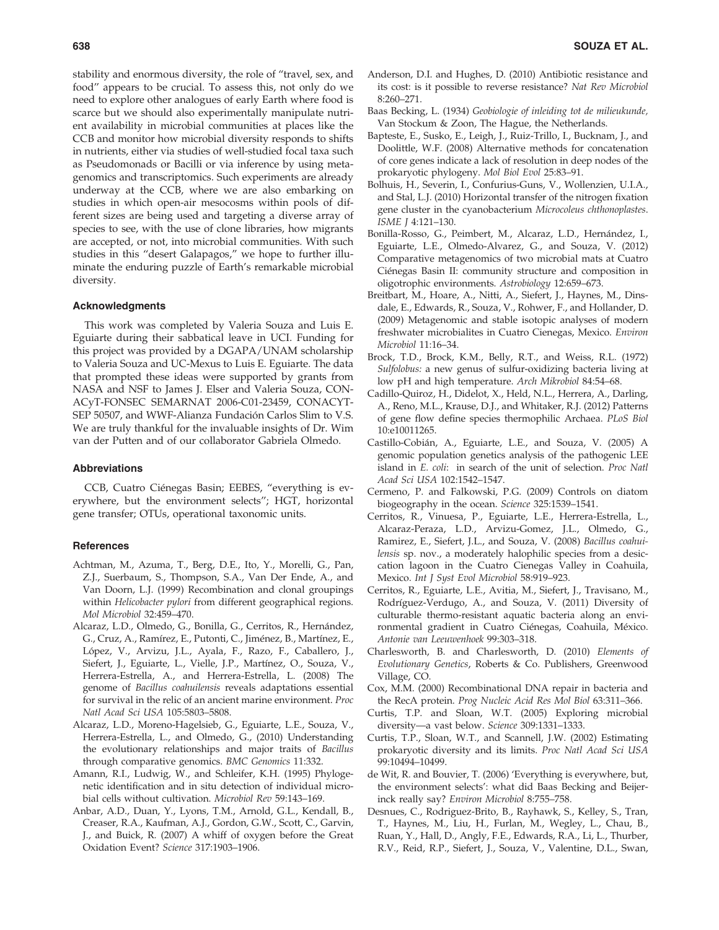stability and enormous diversity, the role of ''travel, sex, and food'' appears to be crucial. To assess this, not only do we need to explore other analogues of early Earth where food is scarce but we should also experimentally manipulate nutrient availability in microbial communities at places like the CCB and monitor how microbial diversity responds to shifts in nutrients, either via studies of well-studied focal taxa such as Pseudomonads or Bacilli or via inference by using metagenomics and transcriptomics. Such experiments are already underway at the CCB, where we are also embarking on studies in which open-air mesocosms within pools of different sizes are being used and targeting a diverse array of species to see, with the use of clone libraries, how migrants are accepted, or not, into microbial communities. With such studies in this ''desert Galapagos,'' we hope to further illuminate the enduring puzzle of Earth's remarkable microbial diversity.

## Acknowledgments

This work was completed by Valeria Souza and Luis E. Eguiarte during their sabbatical leave in UCI. Funding for this project was provided by a DGAPA/UNAM scholarship to Valeria Souza and UC-Mexus to Luis E. Eguiarte. The data that prompted these ideas were supported by grants from NASA and NSF to James J. Elser and Valeria Souza, CON-ACyT-FONSEC SEMARNAT 2006-C01-23459, CONACYT-SEP 50507, and WWF-Alianza Fundación Carlos Slim to V.S. We are truly thankful for the invaluable insights of Dr. Wim van der Putten and of our collaborator Gabriela Olmedo.

## Abbreviations

CCB, Cuatro Ciénegas Basin; EEBES, "everything is everywhere, but the environment selects''; HGT, horizontal gene transfer; OTUs, operational taxonomic units.

### **References**

- Achtman, M., Azuma, T., Berg, D.E., Ito, Y., Morelli, G., Pan, Z.J., Suerbaum, S., Thompson, S.A., Van Der Ende, A., and Van Doorn, L.J. (1999) Recombination and clonal groupings within Helicobacter pylori from different geographical regions. Mol Microbiol 32:459–470.
- Alcaraz, L.D., Olmedo, G., Bonilla, G., Cerritos, R., Hernández, G., Cruz, A., Ramírez, E., Putonti, C., Jiménez, B., Martínez, E., López, V., Arvizu, J.L., Ayala, F., Razo, F., Caballero, J., Siefert, J., Eguiarte, L., Vielle, J.P., Martínez, O., Souza, V., Herrera-Estrella, A., and Herrera-Estrella, L. (2008) The genome of Bacillus coahuilensis reveals adaptations essential for survival in the relic of an ancient marine environment. Proc Natl Acad Sci USA 105:5803–5808.
- Alcaraz, L.D., Moreno-Hagelsieb, G., Eguiarte, L.E., Souza, V., Herrera-Estrella, L., and Olmedo, G., (2010) Understanding the evolutionary relationships and major traits of Bacillus through comparative genomics. BMC Genomics 11:332.
- Amann, R.I., Ludwig, W., and Schleifer, K.H. (1995) Phylogenetic identification and in situ detection of individual microbial cells without cultivation. Microbiol Rev 59:143–169.
- Anbar, A.D., Duan, Y., Lyons, T.M., Arnold, G.L., Kendall, B., Creaser, R.A., Kaufman, A.J., Gordon, G.W., Scott, C., Garvin, J., and Buick, R. (2007) A whiff of oxygen before the Great Oxidation Event? Science 317:1903–1906.
- Anderson, D.I. and Hughes, D. (2010) Antibiotic resistance and its cost: is it possible to reverse resistance? Nat Rev Microbiol 8:260–271.
- Baas Becking, L. (1934) Geobiologie of inleiding tot de milieukunde, Van Stockum & Zoon, The Hague, the Netherlands.
- Bapteste, E., Susko, E., Leigh, J., Ruiz-Trillo, I., Bucknam, J., and Doolittle, W.F. (2008) Alternative methods for concatenation of core genes indicate a lack of resolution in deep nodes of the prokaryotic phylogeny. Mol Biol Evol 25:83–91.
- Bolhuis, H., Severin, I., Confurius-Guns, V., Wollenzien, U.I.A., and Stal, L.J. (2010) Horizontal transfer of the nitrogen fixation gene cluster in the cyanobacterium Microcoleus chthonoplastes. ISME J 4:121–130.
- Bonilla-Rosso, G., Peimbert, M., Alcaraz, L.D., Hernández, I., Eguiarte, L.E., Olmedo-Alvarez, G., and Souza, V. (2012) Comparative metagenomics of two microbial mats at Cuatro Ciénegas Basin II: community structure and composition in oligotrophic environments. Astrobiology 12:659–673.
- Breitbart, M., Hoare, A., Nitti, A., Siefert, J., Haynes, M., Dinsdale, E., Edwards, R., Souza, V., Rohwer, F., and Hollander, D. (2009) Metagenomic and stable isotopic analyses of modern freshwater microbialites in Cuatro Cienegas, Mexico. Environ Microbiol 11:16–34.
- Brock, T.D., Brock, K.M., Belly, R.T., and Weiss, R.L. (1972) Sulfolobus: a new genus of sulfur-oxidizing bacteria living at low pH and high temperature. Arch Mikrobiol 84:54–68.
- Cadillo-Quiroz, H., Didelot, X., Held, N.L., Herrera, A., Darling, A., Reno, M.L., Krause, D.J., and Whitaker, R.J. (2012) Patterns of gene flow define species thermophilic Archaea. PLoS Biol 10:e10011265.
- Castillo-Cobia´n, A., Eguiarte, L.E., and Souza, V. (2005) A genomic population genetics analysis of the pathogenic LEE island in E. coli: in search of the unit of selection. Proc Natl Acad Sci USA 102:1542–1547.
- Cermeno, P. and Falkowski, P.G. (2009) Controls on diatom biogeography in the ocean. Science 325:1539–1541.
- Cerritos, R., Vinuesa, P., Eguiarte, L.E., Herrera-Estrella, L., Alcaraz-Peraza, L.D., Arvizu-Gomez, J.L., Olmedo, G., Ramirez, E., Siefert, J.L., and Souza, V. (2008) Bacillus coahuilensis sp. nov., a moderately halophilic species from a desiccation lagoon in the Cuatro Cienegas Valley in Coahuila, Mexico. Int J Syst Evol Microbiol 58:919–923.
- Cerritos, R., Eguiarte, L.E., Avitia, M., Siefert, J., Travisano, M., Rodríguez-Verdugo, A., and Souza, V. (2011) Diversity of culturable thermo-resistant aquatic bacteria along an environmental gradient in Cuatro Ciénegas, Coahuila, México. Antonie van Leeuwenhoek 99:303–318.
- Charlesworth, B. and Charlesworth, D. (2010) Elements of Evolutionary Genetics, Roberts & Co. Publishers, Greenwood Village, CO.
- Cox, M.M. (2000) Recombinational DNA repair in bacteria and the RecA protein. Prog Nucleic Acid Res Mol Biol 63:311–366.
- Curtis, T.P. and Sloan, W.T. (2005) Exploring microbial diversity—a vast below. Science 309:1331–1333.
- Curtis, T.P., Sloan, W.T., and Scannell, J.W. (2002) Estimating prokaryotic diversity and its limits. Proc Natl Acad Sci USA 99:10494–10499.
- de Wit, R. and Bouvier, T. (2006) 'Everything is everywhere, but, the environment selects': what did Baas Becking and Beijerinck really say? Environ Microbiol 8:755–758.
- Desnues, C., Rodriguez-Brito, B., Rayhawk, S., Kelley, S., Tran, T., Haynes, M., Liu, H., Furlan, M., Wegley, L., Chau, B., Ruan, Y., Hall, D., Angly, F.E., Edwards, R.A., Li, L., Thurber, R.V., Reid, R.P., Siefert, J., Souza, V., Valentine, D.L., Swan,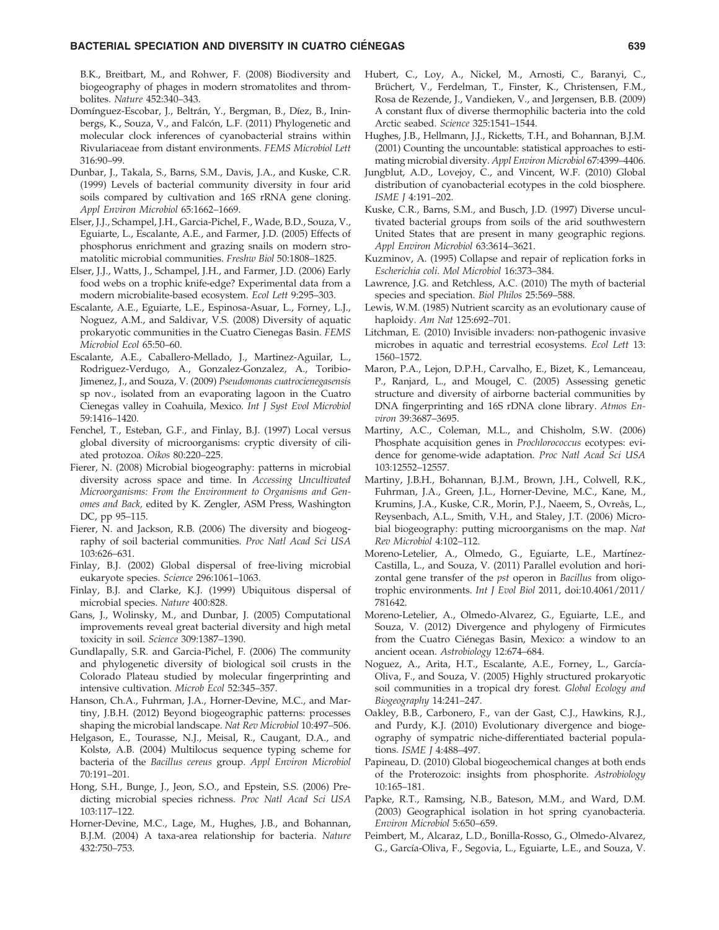## BACTERIAL SPECIATION AND DIVERSITY IN CUATRO CIE´ NEGAS 639

B.K., Breitbart, M., and Rohwer, F. (2008) Biodiversity and biogeography of phages in modern stromatolites and thrombolites. Nature 452:340–343.

- Domínguez-Escobar, J., Beltrán, Y., Bergman, B., Díez, B., Ininbergs, K., Souza, V., and Falcón, L.F. (2011) Phylogenetic and molecular clock inferences of cyanobacterial strains within Rivulariaceae from distant environments. FEMS Microbiol Lett 316:90–99.
- Dunbar, J., Takala, S., Barns, S.M., Davis, J.A., and Kuske, C.R. (1999) Levels of bacterial community diversity in four arid soils compared by cultivation and 16S rRNA gene cloning. Appl Environ Microbiol 65:1662–1669.
- Elser, J.J., Schampel, J.H., Garcia-Pichel, F., Wade, B.D., Souza, V., Eguiarte, L., Escalante, A.E., and Farmer, J.D. (2005) Effects of phosphorus enrichment and grazing snails on modern stromatolitic microbial communities. Freshw Biol 50:1808–1825.
- Elser, J.J., Watts, J., Schampel, J.H., and Farmer, J.D. (2006) Early food webs on a trophic knife-edge? Experimental data from a modern microbialite-based ecosystem. Ecol Lett 9:295–303.
- Escalante, A.E., Eguiarte, L.E., Espinosa-Asuar, L., Forney, L.J., Noguez, A.M., and Saldivar, V.S. (2008) Diversity of aquatic prokaryotic communities in the Cuatro Cienegas Basin. FEMS Microbiol Ecol 65:50–60.
- Escalante, A.E., Caballero-Mellado, J., Martinez-Aguilar, L., Rodriguez-Verdugo, A., Gonzalez-Gonzalez, A., Toribio-Jimenez, J., and Souza, V. (2009) Pseudomonas cuatrocienegasensis sp nov., isolated from an evaporating lagoon in the Cuatro Cienegas valley in Coahuila, Mexico. Int J Syst Evol Microbiol 59:1416–1420.
- Fenchel, T., Esteban, G.F., and Finlay, B.J. (1997) Local versus global diversity of microorganisms: cryptic diversity of ciliated protozoa. Oikos 80:220–225.
- Fierer, N. (2008) Microbial biogeography: patterns in microbial diversity across space and time. In Accessing Uncultivated Microorganisms: From the Environment to Organisms and Genomes and Back, edited by K. Zengler, ASM Press, Washington DC, pp 95–115.
- Fierer, N. and Jackson, R.B. (2006) The diversity and biogeography of soil bacterial communities. Proc Natl Acad Sci USA 103:626–631.
- Finlay, B.J. (2002) Global dispersal of free-living microbial eukaryote species. Science 296:1061–1063.
- Finlay, B.J. and Clarke, K.J. (1999) Ubiquitous dispersal of microbial species. Nature 400:828.
- Gans, J., Wolinsky, M., and Dunbar, J. (2005) Computational improvements reveal great bacterial diversity and high metal toxicity in soil. Science 309:1387–1390.
- Gundlapally, S.R. and Garcia-Pichel, F. (2006) The community and phylogenetic diversity of biological soil crusts in the Colorado Plateau studied by molecular fingerprinting and intensive cultivation. Microb Ecol 52:345–357.
- Hanson, Ch.A., Fuhrman, J.A., Horner-Devine, M.C., and Martiny, J.B.H. (2012) Beyond biogeographic patterns: processes shaping the microbial landscape. Nat Rev Microbiol 10:497–506.
- Helgason, E., Tourasse, N.J., Meisal, R., Caugant, D.A., and Kolstø, A.B. (2004) Multilocus sequence typing scheme for bacteria of the Bacillus cereus group. Appl Environ Microbiol 70:191–201.
- Hong, S.H., Bunge, J., Jeon, S.O., and Epstein, S.S. (2006) Predicting microbial species richness. Proc Natl Acad Sci USA 103:117–122.
- Horner-Devine, M.C., Lage, M., Hughes, J.B., and Bohannan, B.J.M. (2004) A taxa-area relationship for bacteria. Nature 432:750–753.
- Hubert, C., Loy, A., Nickel, M., Arnosti, C., Baranyi, C., Brüchert, V., Ferdelman, T., Finster, K., Christensen, F.M., Rosa de Rezende, J., Vandieken, V., and Jørgensen, B.B. (2009) A constant flux of diverse thermophilic bacteria into the cold Arctic seabed. Science 325:1541–1544.
- Hughes, J.B., Hellmann, J.J., Ricketts, T.H., and Bohannan, B.J.M. (2001) Counting the uncountable: statistical approaches to estimating microbial diversity. Appl Environ Microbiol 67:4399–4406.
- Jungblut, A.D., Lovejoy, C., and Vincent, W.F. (2010) Global distribution of cyanobacterial ecotypes in the cold biosphere. ISME J 4:191–202.
- Kuske, C.R., Barns, S.M., and Busch, J.D. (1997) Diverse uncultivated bacterial groups from soils of the arid southwestern United States that are present in many geographic regions. Appl Environ Microbiol 63:3614–3621.
- Kuzminov, A. (1995) Collapse and repair of replication forks in Escherichia coli. Mol Microbiol 16:373–384.
- Lawrence, J.G. and Retchless, A.C. (2010) The myth of bacterial species and speciation. Biol Philos 25:569–588.
- Lewis, W.M. (1985) Nutrient scarcity as an evolutionary cause of haploidy. Am Nat 125:692–701.
- Litchman, E. (2010) Invisible invaders: non-pathogenic invasive microbes in aquatic and terrestrial ecosystems. Ecol Lett 13: 1560–1572.
- Maron, P.A., Lejon, D.P.H., Carvalho, E., Bizet, K., Lemanceau, P., Ranjard, L., and Mougel, C. (2005) Assessing genetic structure and diversity of airborne bacterial communities by DNA fingerprinting and 16S rDNA clone library. Atmos Environ 39:3687–3695.
- Martiny, A.C., Coleman, M.L., and Chisholm, S.W. (2006) Phosphate acquisition genes in Prochlorococcus ecotypes: evidence for genome-wide adaptation. Proc Natl Acad Sci USA 103:12552–12557.
- Martiny, J.B.H., Bohannan, B.J.M., Brown, J.H., Colwell, R.K., Fuhrman, J.A., Green, J.L., Horner-Devine, M.C., Kane, M., Krumins, J.A., Kuske, C.R., Morin, P.J., Naeem, S., Ovreås, L., Reysenbach, A.L., Smith, V.H., and Staley, J.T. (2006) Microbial biogeography: putting microorganisms on the map. Nat Rev Microbiol 4:102–112.
- Moreno-Letelier, A., Olmedo, G., Eguiarte, L.E., Martínez-Castilla, L., and Souza, V. (2011) Parallel evolution and horizontal gene transfer of the pst operon in Bacillus from oligotrophic environments. Int J Evol Biol 2011, doi:10.4061/2011/ 781642.
- Moreno-Letelier, A., Olmedo-Alvarez, G., Eguiarte, L.E., and Souza, V. (2012) Divergence and phylogeny of Firmicutes from the Cuatro Ciénegas Basin, Mexico: a window to an ancient ocean. Astrobiology 12:674–684.
- Noguez, A., Arita, H.T., Escalante, A.E., Forney, L., García-Oliva, F., and Souza, V. (2005) Highly structured prokaryotic soil communities in a tropical dry forest. Global Ecology and Biogeography 14:241–247.
- Oakley, B.B., Carbonero, F., van der Gast, C.J., Hawkins, R.J., and Purdy, K.J. (2010) Evolutionary divergence and biogeography of sympatric niche-differentiated bacterial populations. ISME J 4:488–497.
- Papineau, D. (2010) Global biogeochemical changes at both ends of the Proterozoic: insights from phosphorite. Astrobiology 10:165–181.
- Papke, R.T., Ramsing, N.B., Bateson, M.M., and Ward, D.M. (2003) Geographical isolation in hot spring cyanobacteria. Environ Microbiol 5:650–659.
- Peimbert, M., Alcaraz, L.D., Bonilla-Rosso, G., Olmedo-Alvarez, G., García-Oliva, F., Segovia, L., Eguiarte, L.E., and Souza, V.